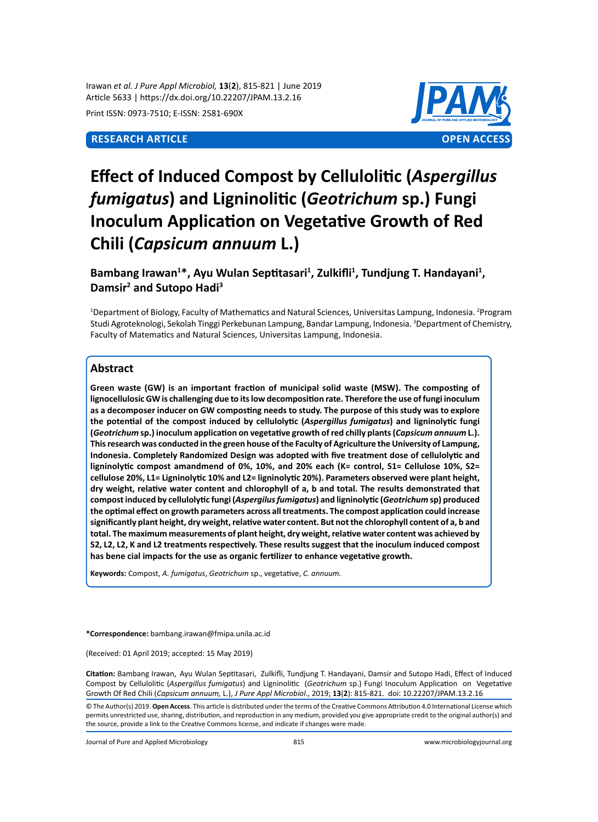Irawan *et al. J Pure Appl Microbiol,* **13**(**2**), 815-821 | June 2019 Article 5633 | https://dx.doi.org/10.22207/JPAM.13.2.16

Print ISSN: 0973-7510; E-ISSN: 2581-690X



# **Effect of Induced Compost by Cellulolitic (***Aspergillus fumigatus***) and Ligninolitic (***Geotrichum* **sp.) Fungi Inoculum Application on Vegetative Growth of Red Chili (***Capsicum annuum* **L.)**

Bambang Irawan<sup>1\*</sup>, Ayu Wulan Septitasari<sup>1</sup>, Zulkifli<sup>1</sup>, Tundjung T. Handayani<sup>1</sup>, **Damsir<sup>2</sup> and Sutopo Hadi<sup>3</sup>**

<sup>1</sup>Department of Biology, Faculty of Mathematics and Natural Sciences, Universitas Lampung, Indonesia. <sup>2</sup>Program Studi Agroteknologi, Sekolah Tinggi Perkebunan Lampung, Bandar Lampung, Indonesia. <sup>3</sup>Department of Chemistry, Faculty of Matematics and Natural Sciences, Universitas Lampung, Indonesia.

## **Abstract**

**Green waste (GW) is an important fraction of municipal solid waste (MSW). The composting of lignocellulosic GW is challenging due to its low decomposition rate. Therefore the use of fungi inoculum as a decomposer inducer on GW composting needs to study. The purpose of this study was to explore the potential of the compost induced by cellulolytic (***Aspergillus fumigatus***) and ligninolytic fungi (***Geotrichum* **sp.) inoculum application on vegetative growth of red chilly plants (***Capsicum annuum* **L.). This research was conducted in the green house of the Faculty of Agriculture the University of Lampung, Indonesia. Completely Randomized Design was adopted with five treatment dose of cellulolytic and ligninolytic compost amandmend of 0%, 10%, and 20% each (K= control, S1= Cellulose 10%, S2= cellulose 20%, L1= Ligninolytic 10% and L2= ligninolytic 20%). Parameters observed were plant height, dry weight, relative water content and chlorophyll of a, b and total. The results demonstrated that compost induced by cellulolytic fungi (***Aspergilus fumigatus***) and ligninolytic (***Geotrichum* **sp) produced the optimal effect on growth parameters across all treatments. The compost application could increase significantly plant height, dry weight, relative water content. But not the chlorophyll content of a, b and total. The maximum measurements of plant height, dry weight, relative water content was achieved by S2, L2, L2, K and L2 treatments respectively. These results suggest that the inoculum induced compost has bene cial impacts for the use as organic fertilizer to enhance vegetative growth.**

**Keywords:** Compost, *A. fumigatus*, *Geotrichum* sp., vegetative, *C. annuum.*

**\*Correspondence:** bambang.irawan@fmipa.unila.ac.id

(Received: 01 April 2019; accepted: 15 May 2019)

**Citation:** Bambang Irawan, Ayu Wulan Septitasari, Zulkifli, Tundjung T. Handayani, Damsir and Sutopo Hadi, Effect of Induced Compost by Cellulolitic (*Aspergillus fumigatus*) and Ligninolitic (*Geotrichum* sp.) Fungi Inoculum Application on Vegetative Growth Of Red Chili (*Capsicum annuum,* L.), *J Pure Appl Microbiol*., 2019; **13**(**2**): 815-821. doi: 10.22207/JPAM.13.2.16

© The Author(s) 2019. **Open Access**. This article is distributed under the terms of the Creative Commons Attribution 4.0 International License which permits unrestricted use, sharing, distribution, and reproduction in any medium, provided you give appropriate credit to the original author(s) and the source, provide a link to the Creative Commons license, and indicate if changes were made.

Journal of Pure and Applied Microbiology 815 www.microbiologyjournal.org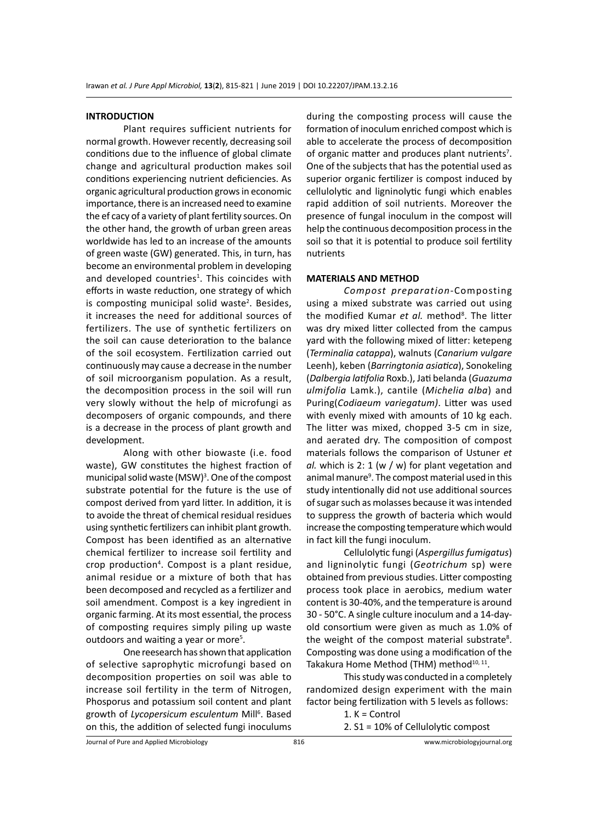#### **INTRODUCTION**

Plant requires sufficient nutrients for normal growth. However recently, decreasing soil conditions due to the influence of global climate change and agricultural production makes soil conditions experiencing nutrient deficiencies. As organic agricultural production grows in economic importance, there is an increased need to examine the ef cacy of a variety of plant fertility sources. On the other hand, the growth of urban green areas worldwide has led to an increase of the amounts of green waste (GW) generated. This, in turn, has become an environmental problem in developing and developed countries<sup>1</sup>. This coincides with efforts in waste reduction, one strategy of which is composting municipal solid waste<sup>2</sup>. Besides, it increases the need for additional sources of fertilizers. The use of synthetic fertilizers on the soil can cause deterioration to the balance of the soil ecosystem. Fertilization carried out continuously may cause a decrease in the number of soil microorganism population. As a result, the decomposition process in the soil will run very slowly without the help of microfungi as decomposers of organic compounds, and there is a decrease in the process of plant growth and development.

Along with other biowaste (i.e. food waste), GW constitutes the highest fraction of municipal solid waste (MSW)<sup>3</sup>. One of the compost substrate potential for the future is the use of compost derived from yard litter. In addition, it is to avoide the threat of chemical residual residues using synthetic fertilizers can inhibit plant growth. Compost has been identified as an alternative chemical fertilizer to increase soil fertility and crop production<sup>4</sup>. Compost is a plant residue, animal residue or a mixture of both that has been decomposed and recycled as a fertilizer and soil amendment. Compost is a key ingredient in organic farming. At its most essential, the process of composting requires simply piling up waste outdoors and waiting a year or more<sup>5</sup>.

One reesearch has shown that application of selective saprophytic microfungi based on decomposition properties on soil was able to increase soil fertility in the term of Nitrogen, Phosporus and potassium soil content and plant growth of Lycopersicum esculentum Mill<sup>6</sup>. Based on this, the addition of selected fungi inoculums

during the composting process will cause the formation of inoculum enriched compost which is able to accelerate the process of decomposition of organic matter and produces plant nutrients<sup>7</sup>. One of the subjects that has the potential used as superior organic fertilizer is compost induced by cellulolytic and ligninolytic fungi which enables rapid addition of soil nutrients. Moreover the presence of fungal inoculum in the compost will help the continuous decomposition process in the soil so that it is potential to produce soil fertility nutrients

#### **MATERIALS AND METHOD**

*Compost preparation*-Composting using a mixed substrate was carried out using the modified Kumar et al. method<sup>8</sup>. The litter was dry mixed litter collected from the campus yard with the following mixed of litter: ketepeng (*Terminalia catappa*), walnuts (*Canarium vulgare* Leenh), keben (*Barringtonia asiatica*), Sonokeling (*Dalbergia latifolia* Roxb.), Jati belanda (*Guazuma ulmifolia* Lamk.), cantile (*Michelia alba*) and Puring(*Codiaeum variegatum)*. Litter was used with evenly mixed with amounts of 10 kg each. The litter was mixed, chopped 3-5 cm in size, and aerated dry. The composition of compost materials follows the comparison of Ustuner *et al.* which is 2: 1 (w / w) for plant vegetation and animal manure<sup>9</sup>. The compost material used in this study intentionally did not use additional sources of sugar such as molasses because it was intended to suppress the growth of bacteria which would increase the composting temperature which would in fact kill the fungi inoculum.

Cellulolytic fungi (*Aspergillus fumigatus*) and ligninolytic fungi (*Geotrichum* sp) were obtained from previous studies. Litter composting process took place in aerobics, medium water content is 30-40%, and the temperature is around 30 - 50°C. A single culture inoculum and a 14-dayold consortium were given as much as 1.0% of the weight of the compost material substrate<sup>8</sup>. Composting was done using a modification of the Takakura Home Method (THM) method<sup>10, 11</sup>.

This study was conducted in a completely randomized design experiment with the main factor being fertilization with 5 levels as follows:

1. K = Control

2. S1 = 10% of Cellulolytic compost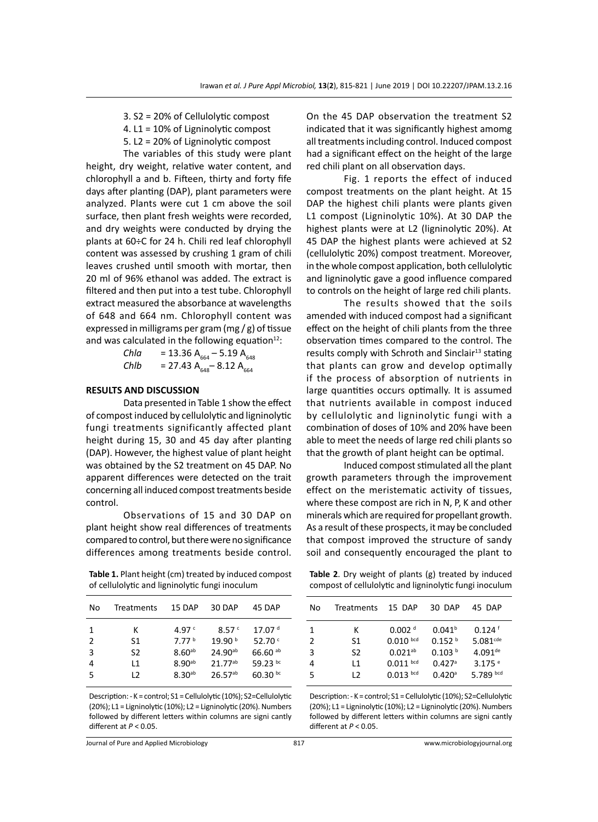- 3. S2 = 20% of Cellulolytic compost
- 4. L1 = 10% of Ligninolytic compost
- 5. L2 = 20% of Ligninolytic compost

The variables of this study were plant height, dry weight, relative water content, and chlorophyll a and b. Fifteen, thirty and forty fife days after planting (DAP), plant parameters were analyzed. Plants were cut 1 cm above the soil surface, then plant fresh weights were recorded, and dry weights were conducted by drying the plants at 60÷C for 24 h. Chili red leaf chlorophyll content was assessed by crushing 1 gram of chili leaves crushed until smooth with mortar, then 20 ml of 96% ethanol was added. The extract is filtered and then put into a test tube. Chlorophyll extract measured the absorbance at wavelengths of 648 and 664 nm. Chlorophyll content was expressed in milligrams per gram (mg / g) of tissue and was calculated in the following equation $12$ :

*Chla* = 13.36 A664 – 5.19 A<sup>648</sup> *Chlb* = 27.43 A648– 8.12 A<sup>664</sup>

#### **RESULTS AND DISCUSSION**

Data presented in Table 1 show the effect of compost induced by cellulolytic and ligninolytic fungi treatments significantly affected plant height during 15, 30 and 45 day after planting (DAP). However, the highest value of plant height was obtained by the S2 treatment on 45 DAP. No apparent differences were detected on the trait concerning all induced compost treatments beside control.

Observations of 15 and 30 DAP on plant height show real differences of treatments compared to control, but there were no significance differences among treatments beside control.

**Table 1.** Plant height (cm) treated by induced compost of cellulolytic and ligninolytic fungi inoculum

| No     | Treatments     | 15 DAP                                  | 30 DAP                              | 45 DAP                          |  |
|--------|----------------|-----------------------------------------|-------------------------------------|---------------------------------|--|
| 1      | ĸ              | 4.97 $c$                                | 8.57c                               | 17.07 <sup>d</sup>              |  |
| 2      | S1             | 7.77 <sup>b</sup><br>8.60 <sup>ab</sup> | 19.90 <sup>b</sup>                  | 52.70 $C$                       |  |
| 3<br>4 | S2<br>l 1      | $8.90^{ab}$                             | 24.90 <sup>ab</sup><br>$21.77^{ab}$ | 66.60 <sup>ab</sup><br>59.23 bc |  |
| 5      | $\overline{2}$ | $8.30^{ab}$                             | $26.57^{ab}$                        | 60.30 $bc$                      |  |
|        |                |                                         |                                     |                                 |  |

Description: - K = control; S1 = Cellulolytic (10%); S2=Cellulolytic (20%); L1 = Ligninolytic (10%); L2 = Ligninolytic (20%). Numbers followed by different letters within columns are signi cantly different at *P* < 0.05.

On the 45 DAP observation the treatment S2 indicated that it was significantly highest amomg all treatments including control. Induced compost had a significant effect on the height of the large red chili plant on all observation days.

Fig. 1 reports the effect of induced compost treatments on the plant height. At 15 DAP the highest chili plants were plants given L1 compost (Ligninolytic 10%). At 30 DAP the highest plants were at L2 (ligninolytic 20%). At 45 DAP the highest plants were achieved at S2 (cellulolytic 20%) compost treatment. Moreover, in the whole compost application, both cellulolytic and ligninolytic gave a good influence compared to controls on the height of large red chili plants.

The results showed that the soils amended with induced compost had a significant effect on the height of chili plants from the three observation times compared to the control. The results comply with Schroth and Sinclair<sup>13</sup> stating that plants can grow and develop optimally if the process of absorption of nutrients in large quantities occurs optimally. It is assumed that nutrients available in compost induced by cellulolytic and ligninolytic fungi with a combination of doses of 10% and 20% have been able to meet the needs of large red chili plants so that the growth of plant height can be optimal.

Induced compost stimulated all the plant growth parameters through the improvement effect on the meristematic activity of tissues, where these compost are rich in N, P, K and other minerals which are required for propellant growth. As a result of these prospects, it may be concluded that compost improved the structure of sandy soil and consequently encouraged the plant to

**Table 2**. Dry weight of plants (g) treated by induced compost of cellulolytic and ligninolytic fungi inoculum

| No | <b>Treatments</b> | 15 DAP             | 30 DAP               | 45 DAP                |
|----|-------------------|--------------------|----------------------|-----------------------|
| 1  | к                 | 0.002 <sup>d</sup> | 0.041 <sup>b</sup>   | $0.124$ <sup>f</sup>  |
| 2  | S1                | $0.010$ bcd        | 0.152 h              | 5.081 <sub>cde</sub>  |
| 3  | S <sub>2</sub>    | $0.021^{ab}$       | 0.103 h              | $4.091$ <sup>de</sup> |
| 4  | l 1               | $0.011$ bcd        | $0.427$ <sup>a</sup> | $3.175$ <sup>e</sup>  |
| 5  | 12                | $0.013$ bcd        | $0.420$ <sup>a</sup> | 5.789 bcd             |
|    |                   |                    |                      |                       |

Description: - K = control; S1 = Cellulolytic (10%); S2=Cellulolytic (20%); L1 = Ligninolytic (10%); L2 = Ligninolytic (20%). Numbers followed by different letters within columns are signi cantly different at *P* < 0.05.

Journal of Pure and Applied Microbiology 817 www.microbiologyjournal.org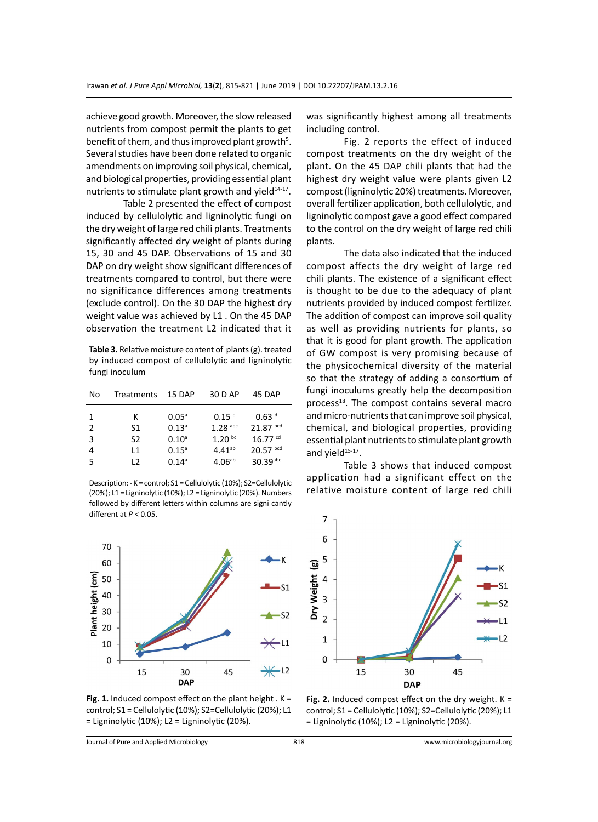achieve good growth. Moreover, the slow released nutrients from compost permit the plants to get benefit of them, and thus improved plant growth<sup>5</sup>. Several studies have been done related to organic amendments on improving soil physical, chemical, and biological properties, providing essential plant nutrients to stimulate plant growth and yield $14-17$ .

Table 2 presented the effect of compost induced by cellulolytic and ligninolytic fungi on the dry weight of large red chili plants. Treatments significantly affected dry weight of plants during 15, 30 and 45 DAP. Observations of 15 and 30 DAP on dry weight show significant differences of treatments compared to control, but there were no significance differences among treatments (exclude control). On the 30 DAP the highest dry weight value was achieved by L1 . On the 45 DAP observation the treatment L2 indicated that it

**Table 3.** Relative moisture content of plants (g). treated by induced compost of cellulolytic and ligninolytic fungi inoculum

| No | Treatments     | 15 DAP            | 30 D AP            | 45 DAP                |
|----|----------------|-------------------|--------------------|-----------------------|
| 1  | к              | $0.05^{\circ}$    | 0.15 <sup>c</sup>  | 0.63 <sup>d</sup>     |
| 2  | S1             | 0.13 <sup>a</sup> | $1.28$ abc         | $21.87$ bcd           |
| 3  | S2             | $0.10^{\circ}$    | 1.20 <sup>bc</sup> | $16.77$ <sup>cd</sup> |
| 4  | l 1            | $0.15^{\circ}$    | $4.41^{ab}$        | $20.57$ bcd           |
| 5  | $\overline{2}$ | $0.14^{\circ}$    | 4.06 <sup>ab</sup> | $30.39$ abc           |
|    |                |                   |                    |                       |

Description: - K = control; S1 = Cellulolytic (10%); S2=Cellulolytic (20%); L1 = Ligninolytic (10%); L2 = Ligninolytic (20%). Numbers followed by different letters within columns are signi cantly different at *P* < 0.05.



**Fig. 1.** Induced compost effect on the plant height . K = control; S1 = Cellulolytic (10%); S2=Cellulolytic (20%); L1 = Ligninolytic (10%); L2 = Ligninolytic (20%).

was significantly highest among all treatments including control.

Fig. 2 reports the effect of induced compost treatments on the dry weight of the plant. On the 45 DAP chili plants that had the highest dry weight value were plants given L2 compost (ligninolytic 20%) treatments. Moreover, overall fertilizer application, both cellulolytic, and ligninolytic compost gave a good effect compared to the control on the dry weight of large red chili plants.

The data also indicated that the induced compost affects the dry weight of large red chili plants. The existence of a significant effect is thought to be due to the adequacy of plant nutrients provided by induced compost fertilizer. The addition of compost can improve soil quality as well as providing nutrients for plants, so that it is good for plant growth. The application of GW compost is very promising because of the physicochemical diversity of the material so that the strategy of adding a consortium of fungi inoculums greatly help the decomposition process<sup>18</sup>. The compost contains several macro and micro-nutrients that can improve soil physical, chemical, and biological properties, providing essential plant nutrients to stimulate plant growth and yield<sup>15-17</sup>.

Table 3 shows that induced compost application had a significant effect on the relative moisture content of large red chili



**Fig. 2.** Induced compost effect on the dry weight. K = control; S1 = Cellulolytic (10%); S2=Cellulolytic (20%); L1 = Ligninolytic (10%); L2 = Ligninolytic (20%).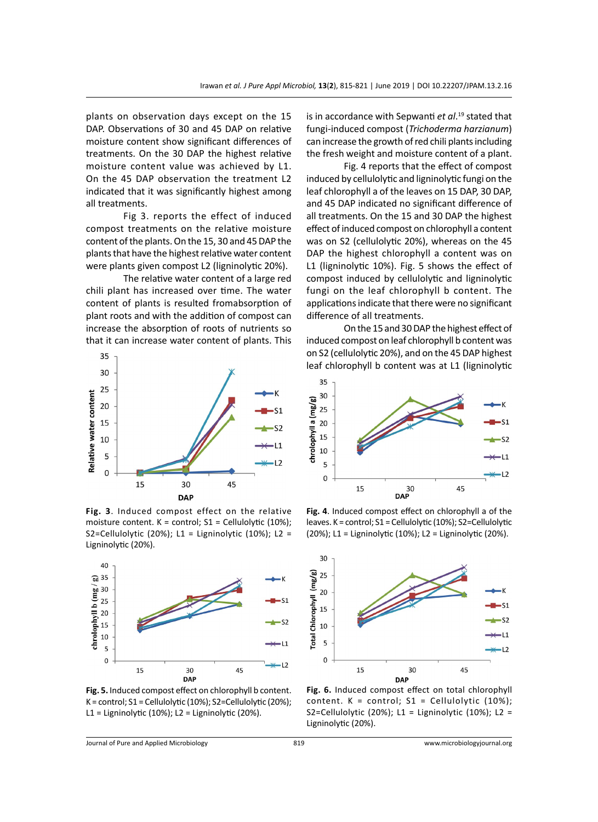plants on observation days except on the 15 DAP. Observations of 30 and 45 DAP on relative moisture content show significant differences of treatments. On the 30 DAP the highest relative moisture content value was achieved by L1. On the 45 DAP observation the treatment L2 indicated that it was significantly highest among all treatments.

Fig 3. reports the effect of induced compost treatments on the relative moisture content of the plants. On the 15, 30 and 45 DAP the plants that have the highest relative water content were plants given compost L2 (ligninolytic 20%).

The relative water content of a large red chili plant has increased over time. The water content of plants is resulted fromabsorption of plant roots and with the addition of compost can increase the absorption of roots of nutrients so that it can increase water content of plants. This



**Fig. 3**. Induced compost effect on the relative moisture content.  $K =$  control;  $S1 =$  Cellulolytic (10%); S2=Cellulolytic (20%); L1 = Ligninolytic (10%); L2 = Ligninolytic (20%).



**Fig. 5.** Induced compost effect on chlorophyll b content. K = control; S1 = Cellulolytic (10%); S2=Cellulolytic (20%); L1 = Ligninolytic (10%); L2 = Ligninolytic (20%).

is in accordance with Sepwanti *et al*. <sup>19</sup> stated that fungi-induced compost (*Trichoderma harzianum*) can increase the growth of red chili plants including the fresh weight and moisture content of a plant.

Fig. 4 reports that the effect of compost induced by cellulolytic and ligninolytic fungi on the leaf chlorophyll a of the leaves on 15 DAP, 30 DAP, and 45 DAP indicated no significant difference of all treatments. On the 15 and 30 DAP the highest effect of induced compost on chlorophyll a content was on S2 (cellulolytic 20%), whereas on the 45 DAP the highest chlorophyll a content was on L1 (ligninolytic 10%). Fig. 5 shows the effect of compost induced by cellulolytic and ligninolytic fungi on the leaf chlorophyll b content. The applications indicate that there were no significant difference of all treatments.

On the 15 and 30 DAP the highest effect of induced compost on leaf chlorophyll b content was on S2 (cellulolytic 20%), and on the 45 DAP highest leaf chlorophyll b content was at L1 (ligninolytic



**Fig. 4**. Induced compost effect on chlorophyll a of the leaves. K = control; S1 = Cellulolytic (10%); S2=Cellulolytic (20%); L1 = Ligninolytic (10%); L2 = Ligninolytic (20%).



**Fig. 6.** Induced compost effect on total chlorophyll content.  $K =$  control;  $S1 =$  Cellulolytic (10%); S2=Cellulolytic (20%); L1 = Ligninolytic (10%); L2 = Ligninolytic (20%).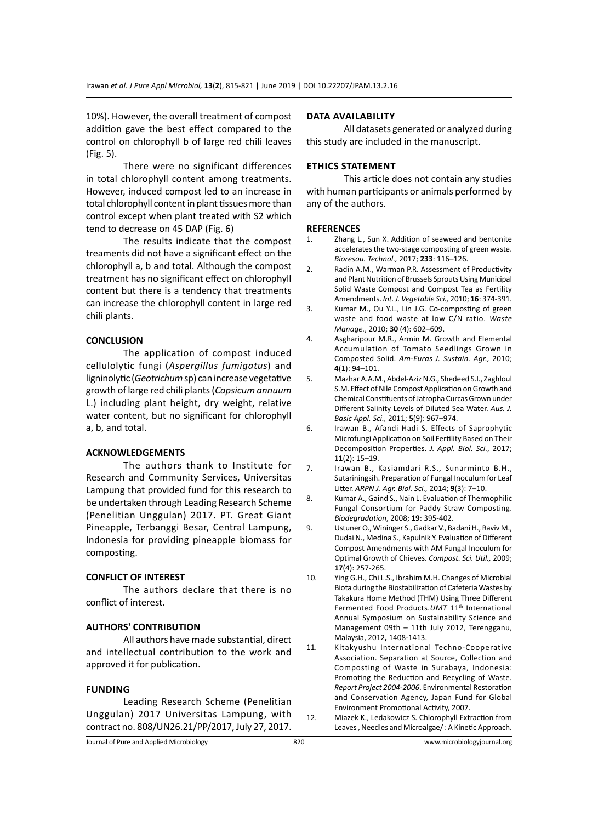10%). However, the overall treatment of compost addition gave the best effect compared to the control on chlorophyll b of large red chili leaves (Fig. 5).

There were no significant differences in total chlorophyll content among treatments. However, induced compost led to an increase in total chlorophyll content in plant tissues more than control except when plant treated with S2 which tend to decrease on 45 DAP (Fig. 6)

The results indicate that the compost treaments did not have a significant effect on the chlorophyll a, b and total. Although the compost treatment has no significant effect on chlorophyll content but there is a tendency that treatments can increase the chlorophyll content in large red chili plants.

#### **CONCLUSION**

The application of compost induced cellulolytic fungi (*Aspergillus fumigatus*) and ligninolytic (*Geotrichum* sp) can increase vegetative growth of large red chili plants (*Capsicum annuum*  L.) including plant height, dry weight, relative water content, but no significant for chlorophyll a, b, and total.

#### **ACKNOWLEDGEMENTS**

The authors thank to Institute for Research and Community Services, Universitas Lampung that provided fund for this research to be undertaken through Leading Research Scheme (Penelitian Unggulan) 2017. PT. Great Giant Pineapple, Terbanggi Besar, Central Lampung, Indonesia for providing pineapple biomass for composting.

#### **CONFLICT OF INTEREST**

The authors declare that there is no conflict of interest.

### **AUTHORS' CONTRIBUTION**

All authors have made substantial, direct and intellectual contribution to the work and approved it for publication.

#### **Funding**

Leading Research Scheme (Penelitian Unggulan) 2017 Universitas Lampung, with contract no. 808/UN26.21/PP/2017, July 27, 2017.

#### **Data availability**

All datasets generated or analyzed during this study are included in the manuscript.

### **Ethics Statement**

This article does not contain any studies with human participants or animals performed by any of the authors.

#### **REFERENCES**

- 1. Zhang L., Sun X. Addition of seaweed and bentonite accelerates the two-stage composting of green waste. *Bioresou. Technol.,* 2017; **233**: 116–126.
- 2. Radin A.M., Warman P.R. Assessment of Productivity and Plant Nutrition of Brussels Sprouts Using Municipal Solid Waste Compost and Compost Tea as Fertility Amendments. *Int. J. Vegetable Sci.,* 2010; **16**: 374-391.
- 3. Kumar M., Ou Y.L., Lin J.G. Co-composting of green waste and food waste at low C/N ratio. *Waste Manage.*, 2010; **30** (4): 602–609.
- 4. Asgharipour M.R., Armin M. Growth and Elemental Accumulation of Tomato Seedlings Grown in Composted Solid. *Am-Euras J. Sustain. Agr.,* 2010; **4**(1): 94–101.
- 5. Mazhar A.A.M., Abdel-Aziz N.G., Shedeed S.I., Zaghloul S.M. Effect of Nile Compost Application on Growth and Chemical Constituents of Jatropha Curcas Grown under Different Salinity Levels of Diluted Sea Water. *Aus. J. Basic Appl. Sci.,* 2011; **5**(9): 967–974.
- 6. Irawan B., Afandi Hadi S. Effects of Saprophytic Microfungi Application on Soil Fertility Based on Their Decomposition Properties. *J. Appl. Biol. Sci.,* 2017; **11**(2): 15–19.
- 7. Irawan B., Kasiamdari R.S., Sunarminto B.H., Sutariningsih. Preparation of Fungal Inoculum for Leaf Litter. *ARPN J. Agr. Biol. Sci.,* 2014; **9**(3): 7–10.
- 8. Kumar A., Gaind S., Nain L. Evaluation of Thermophilic Fungal Consortium for Paddy Straw Composting. *Biodegradation*, 2008; **19**: 395-402.
- 9. Ustuner O., Wininger S., Gadkar V., Badani H., Raviv M., Dudai N., Medina S., Kapulnik Y. Evaluation of Different Compost Amendments with AM Fungal Inoculum for Optimal Growth of Chieves. *Compost. Sci. Util.,* 2009; **17**(4): 257-265.
- 10. Ying G.H., Chi L.S., Ibrahim M.H. Changes of Microbial Biota during the Biostabilization of Cafeteria Wastes by Takakura Home Method (THM) Using Three Different Fermented Food Products.*UMT* 11<sup>th</sup> International Annual Symposium on Sustainability Science and Management 09th – 11th July 2012, Terengganu, Malaysia, 2012**,** 1408-1413.
- 11. Kitakyushu International Techno-Cooperative Association. Separation at Source, Collection and Composting of Waste in Surabaya, Indonesia: Promoting the Reduction and Recycling of Waste. *Report Project 2004-2006*. Environmental Restoration and Conservation Agency, Japan Fund for Global Environment Promotional Activity, 2007.
- 12. Miazek K., Ledakowicz S. Chlorophyll Extraction from Leaves , Needles and Microalgae/ : A Kinetic Approach.